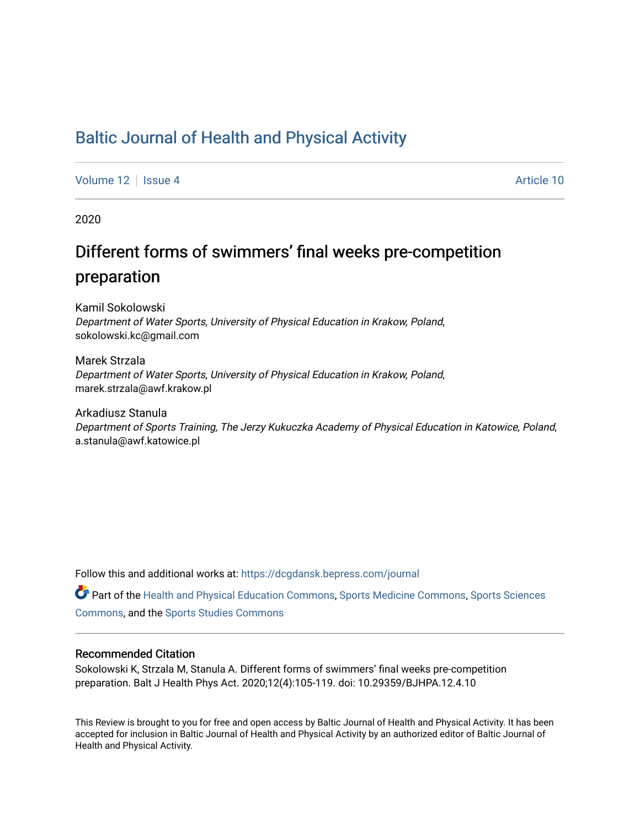## [Baltic Journal of Health and Physical Activity](https://dcgdansk.bepress.com/journal)

[Volume 12](https://dcgdansk.bepress.com/journal/vol12) Setup 4 Article 10

2020

# Different forms of swimmers' final weeks pre-competition preparation

Kamil Sokolowski Department of Water Sports, University of Physical Education in Krakow, Poland, sokolowski.kc@gmail.com

Marek Strzala Department of Water Sports, University of Physical Education in Krakow, Poland, marek.strzala@awf.krakow.pl

Arkadiusz Stanula Department of Sports Training, The Jerzy Kukuczka Academy of Physical Education in Katowice, Poland, a.stanula@awf.katowice.pl

Follow this and additional works at: [https://dcgdansk.bepress.com/journal](https://dcgdansk.bepress.com/journal?utm_source=dcgdansk.bepress.com%2Fjournal%2Fvol12%2Fiss4%2F10&utm_medium=PDF&utm_campaign=PDFCoverPages)

Part of the [Health and Physical Education Commons](http://network.bepress.com/hgg/discipline/1327?utm_source=dcgdansk.bepress.com%2Fjournal%2Fvol12%2Fiss4%2F10&utm_medium=PDF&utm_campaign=PDFCoverPages), [Sports Medicine Commons,](http://network.bepress.com/hgg/discipline/1331?utm_source=dcgdansk.bepress.com%2Fjournal%2Fvol12%2Fiss4%2F10&utm_medium=PDF&utm_campaign=PDFCoverPages) [Sports Sciences](http://network.bepress.com/hgg/discipline/759?utm_source=dcgdansk.bepress.com%2Fjournal%2Fvol12%2Fiss4%2F10&utm_medium=PDF&utm_campaign=PDFCoverPages) [Commons](http://network.bepress.com/hgg/discipline/759?utm_source=dcgdansk.bepress.com%2Fjournal%2Fvol12%2Fiss4%2F10&utm_medium=PDF&utm_campaign=PDFCoverPages), and the [Sports Studies Commons](http://network.bepress.com/hgg/discipline/1198?utm_source=dcgdansk.bepress.com%2Fjournal%2Fvol12%2Fiss4%2F10&utm_medium=PDF&utm_campaign=PDFCoverPages) 

#### Recommended Citation

Sokolowski K, Strzala M, Stanula A. Different forms of swimmers' final weeks pre-competition preparation. Balt J Health Phys Act. 2020;12(4):105-119. doi: 10.29359/BJHPA.12.4.10

This Review is brought to you for free and open access by Baltic Journal of Health and Physical Activity. It has been accepted for inclusion in Baltic Journal of Health and Physical Activity by an authorized editor of Baltic Journal of Health and Physical Activity.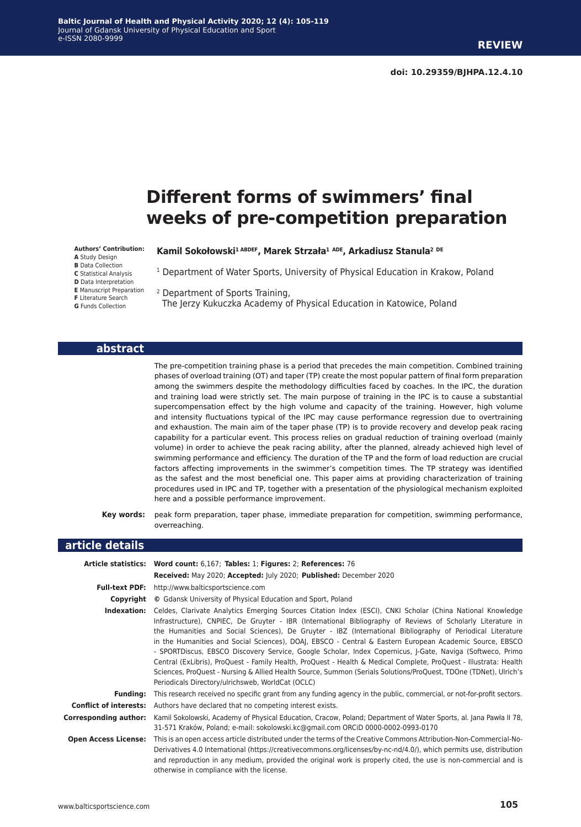#### **Baltic Journal of Health and Physical Activity 2020; 12 (4): 105-119** Journal of Gdansk University of Physical Education and Sport e-ISSN 2080-9999

# **Different forms of swimmers' final weeks of pre-competition preparation**

**Authors' Contribution:**

**A** Study Design **B** Data Collection

**C** Statistical Analysis

**D** Data Interpretation

**E** Manuscript Preparation

**F** Literature Search

**G** Funds Collection

**Kamil Sokołowski1 ABDEF, Marek Strzała<sup>1</sup> ADE, Arkadiusz Stanula<sup>2</sup> DE**

<sup>1</sup> Department of Water Sports, University of Physical Education in Krakow, Poland

2 Department of Sports Training,

The Jerzy Kukuczka Academy of Physical Education in Katowice, Poland

#### **abstract**

The pre-competition training phase is a period that precedes the main competition. Combined training phases of overload training (OT) and taper (TP) create the most popular pattern of final form preparation among the swimmers despite the methodology difficulties faced by coaches. In the IPC, the duration and training load were strictly set. The main purpose of training in the IPC is to cause a substantial supercompensation effect by the high volume and capacity of the training. However, high volume and intensity fluctuations typical of the IPC may cause performance regression due to overtraining and exhaustion. The main aim of the taper phase (TP) is to provide recovery and develop peak racing capability for a particular event. This process relies on gradual reduction of training overload (mainly volume) in order to achieve the peak racing ability, after the planned, already achieved high level of swimming performance and efficiency. The duration of the TP and the form of load reduction are crucial factors affecting improvements in the swimmer's competition times. The TP strategy was identified as the safest and the most beneficial one. This paper aims at providing characterization of training procedures used in IPC and TP, together with a presentation of the physiological mechanism exploited here and a possible performance improvement.

**Key words:** peak form preparation, taper phase, immediate preparation for competition, swimming performance, overreaching.

#### **article details**

|                               | Article statistics: Word count: 6,167; Tables: 1; Figures: 2; References: 76                                                                                                                                                                                                                                                                                                                                                                                                                                                                                                                                                                                                                                                                                                                                                                                  |  |
|-------------------------------|---------------------------------------------------------------------------------------------------------------------------------------------------------------------------------------------------------------------------------------------------------------------------------------------------------------------------------------------------------------------------------------------------------------------------------------------------------------------------------------------------------------------------------------------------------------------------------------------------------------------------------------------------------------------------------------------------------------------------------------------------------------------------------------------------------------------------------------------------------------|--|
|                               | Received: May 2020; Accepted: July 2020; Published: December 2020                                                                                                                                                                                                                                                                                                                                                                                                                                                                                                                                                                                                                                                                                                                                                                                             |  |
| <b>Full-text PDF:</b>         | http://www.balticsportscience.com                                                                                                                                                                                                                                                                                                                                                                                                                                                                                                                                                                                                                                                                                                                                                                                                                             |  |
| Copyright                     | © Gdansk University of Physical Education and Sport, Poland                                                                                                                                                                                                                                                                                                                                                                                                                                                                                                                                                                                                                                                                                                                                                                                                   |  |
| Indexation:                   | Celdes, Clarivate Analytics Emerging Sources Citation Index (ESCI), CNKI Scholar (China National Knowledge<br>Infrastructure), CNPIEC, De Gruyter - IBR (International Bibliography of Reviews of Scholarly Literature in<br>the Humanities and Social Sciences), De Gruyter - IBZ (International Bibliography of Periodical Literature<br>in the Humanities and Social Sciences), DOAJ, EBSCO - Central & Eastern European Academic Source, EBSCO<br>- SPORTDiscus, EBSCO Discovery Service, Google Scholar, Index Copernicus, J-Gate, Naviga (Softweco, Primo<br>Central (ExLibris), ProQuest - Family Health, ProQuest - Health & Medical Complete, ProQuest - Illustrata: Health<br>Sciences, ProQuest - Nursing & Allied Health Source, Summon (Serials Solutions/ProQuest, TDOne (TDNet), Ulrich's<br>Periodicals Directory/ulrichsweb, WorldCat (OCLC) |  |
| <b>Funding:</b>               | This research received no specific grant from any funding agency in the public, commercial, or not-for-profit sectors.                                                                                                                                                                                                                                                                                                                                                                                                                                                                                                                                                                                                                                                                                                                                        |  |
| <b>Conflict of interests:</b> | Authors have declared that no competing interest exists.                                                                                                                                                                                                                                                                                                                                                                                                                                                                                                                                                                                                                                                                                                                                                                                                      |  |
| Corresponding author:         | Kamil Sokolowski, Academy of Physical Education, Cracow, Poland; Department of Water Sports, al. Jana Pawła II 78,<br>31-571 Kraków, Poland; e-mail: sokolowski.kc@gmail.com ORCiD 0000-0002-0993-0170                                                                                                                                                                                                                                                                                                                                                                                                                                                                                                                                                                                                                                                        |  |
| <b>Open Access License:</b>   | This is an open access article distributed under the terms of the Creative Commons Attribution-Non-Commercial-No-<br>Derivatives 4.0 International (https://creativecommons.org/licenses/by-nc-nd/4.0/), which permits use, distribution<br>and reproduction in any medium, provided the original work is properly cited, the use is non-commercial and is<br>otherwise in compliance with the license.                                                                                                                                                                                                                                                                                                                                                                                                                                                       |  |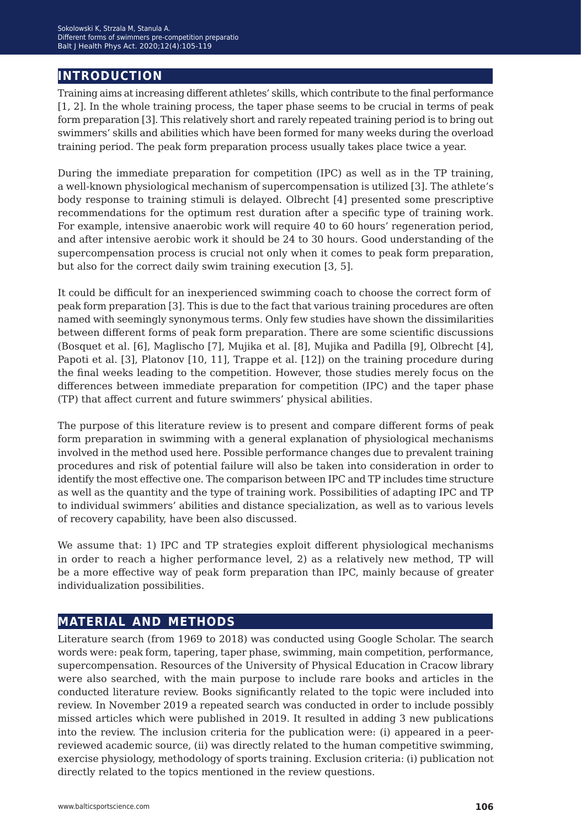## **introduction**

Training aims at increasing different athletes' skills, which contribute to the final performance [1, 2]. In the whole training process, the taper phase seems to be crucial in terms of peak form preparation [3]. This relatively short and rarely repeated training period is to bring out swimmers' skills and abilities which have been formed for many weeks during the overload training period. The peak form preparation process usually takes place twice a year.

During the immediate preparation for competition (IPC) as well as in the TP training, a well-known physiological mechanism of supercompensation is utilized [3]. The athlete's body response to training stimuli is delayed. Olbrecht [4] presented some prescriptive recommendations for the optimum rest duration after a specific type of training work. For example, intensive anaerobic work will require 40 to 60 hours' regeneration period, and after intensive aerobic work it should be 24 to 30 hours. Good understanding of the supercompensation process is crucial not only when it comes to peak form preparation, but also for the correct daily swim training execution [3, 5].

It could be difficult for an inexperienced swimming coach to choose the correct form of peak form preparation [3]. This is due to the fact that various training procedures are often named with seemingly synonymous terms. Only few studies have shown the dissimilarities between different forms of peak form preparation. There are some scientific discussions (Bosquet et al. [6], Maglischo [7], Mujika et al. [8], Mujika and Padilla [9], Olbrecht [4], Papoti et al. [3], Platonov [10, 11], Trappe et al. [12]) on the training procedure during the final weeks leading to the competition. However, those studies merely focus on the differences between immediate preparation for competition (IPC) and the taper phase (TP) that affect current and future swimmers' physical abilities.

The purpose of this literature review is to present and compare different forms of peak form preparation in swimming with a general explanation of physiological mechanisms involved in the method used here. Possible performance changes due to prevalent training procedures and risk of potential failure will also be taken into consideration in order to identify the most effective one. The comparison between IPC and TP includes time structure as well as the quantity and the type of training work. Possibilities of adapting IPC and TP to individual swimmers' abilities and distance specialization, as well as to various levels of recovery capability, have been also discussed.

We assume that: 1) IPC and TP strategies exploit different physiological mechanisms in order to reach a higher performance level, 2) as a relatively new method, TP will be a more effective way of peak form preparation than IPC, mainly because of greater individualization possibilities.

## **material and methods**

Literature search (from 1969 to 2018) was conducted using Google Scholar. The search words were: peak form, tapering, taper phase, swimming, main competition, performance, supercompensation. Resources of the University of Physical Education in Cracow library were also searched, with the main purpose to include rare books and articles in the conducted literature review. Books significantly related to the topic were included into review. In November 2019 a repeated search was conducted in order to include possibly missed articles which were published in 2019. It resulted in adding 3 new publications into the review. The inclusion criteria for the publication were: (i) appeared in a peerreviewed academic source, (ii) was directly related to the human competitive swimming, exercise physiology, methodology of sports training. Exclusion criteria: (i) publication not directly related to the topics mentioned in the review questions.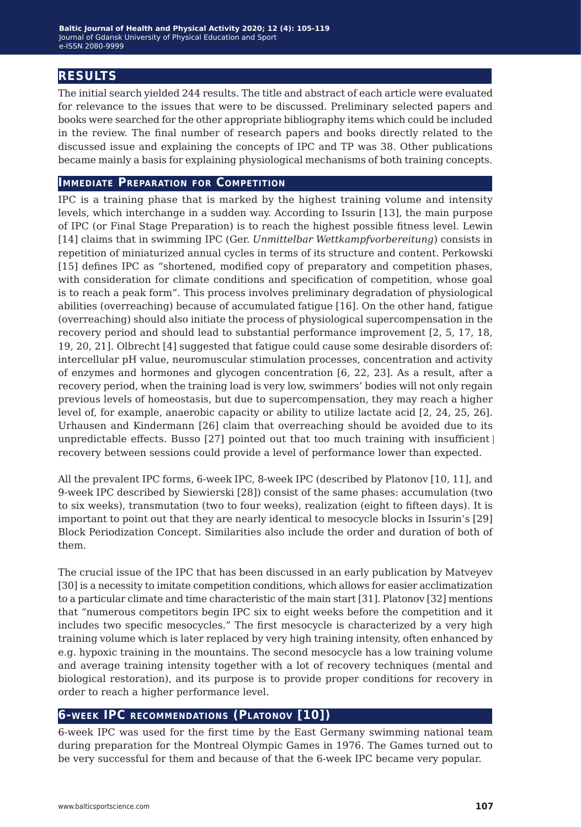## **results**

The initial search yielded 244 results. The title and abstract of each article were evaluated for relevance to the issues that were to be discussed. Preliminary selected papers and books were searched for the other appropriate bibliography items which could be included in the review. The final number of research papers and books directly related to the discussed issue and explaining the concepts of IPC and TP was 38. Other publications became mainly a basis for explaining physiological mechanisms of both training concepts.

#### **Immediate Preparation for Competition**

IPC is a training phase that is marked by the highest training volume and intensity levels, which interchange in a sudden way. According to Issurin [13], the main purpose of IPC (or Final Stage Preparation) is to reach the highest possible fitness level. Lewin [14] claims that in swimming IPC (Ger. *Unmittelbar Wettkampfvorbereitung*) consists in repetition of miniaturized annual cycles in terms of its structure and content. Perkowski [15] defines IPC as "shortened, modified copy of preparatory and competition phases, with consideration for climate conditions and specification of competition, whose goal is to reach a peak form". This process involves preliminary degradation of physiological abilities (overreaching) because of accumulated fatigue [16]. On the other hand, fatigue (overreaching) should also initiate the process of physiological supercompensation in the recovery period and should lead to substantial performance improvement [2, 5, 17, 18, 19, 20, 21]. Olbrecht [4] suggested that fatigue could cause some desirable disorders of: intercellular pH value, neuromuscular stimulation processes, concentration and activity of enzymes and hormones and glycogen concentration [6, 22, 23]. As a result, after a recovery period, when the training load is very low, swimmers' bodies will not only regain previous levels of homeostasis, but due to supercompensation, they may reach a higher level of, for example, anaerobic capacity or ability to utilize lactate acid [2, 24, 25, 26]. Urhausen and Kindermann [26] claim that overreaching should be avoided due to its unpredictable effects. Busso [27] pointed out that too much training with insufficient recovery between sessions could provide a level of performance lower than expected.

All the prevalent IPC forms, 6-week IPC, 8-week IPC (described by Platonov [10, 11], and 9-week IPC described by Siewierski [28]) consist of the same phases: accumulation (two to six weeks), transmutation (two to four weeks), realization (eight to fifteen days). It is important to point out that they are nearly identical to mesocycle blocks in Issurin's [29] Block Periodization Concept. Similarities also include the order and duration of both of them.

The crucial issue of the IPC that has been discussed in an early publication by Matveyev [30] is a necessity to imitate competition conditions, which allows for easier acclimatization to a particular climate and time characteristic of the main start [31]. Platonov [32] mentions that "numerous competitors begin IPC six to eight weeks before the competition and it includes two specific mesocycles." The first mesocycle is characterized by a very high training volume which is later replaced by very high training intensity, often enhanced by e.g. hypoxic training in the mountains. The second mesocycle has a low training volume and average training intensity together with a lot of recovery techniques (mental and biological restoration), and its purpose is to provide proper conditions for recovery in order to reach a higher performance level.

### **6-week IPC recommendations (Platonov [10])**

6-week IPC was used for the first time by the East Germany swimming national team during preparation for the Montreal Olympic Games in 1976. The Games turned out to be very successful for them and because of that the 6-week IPC became very popular.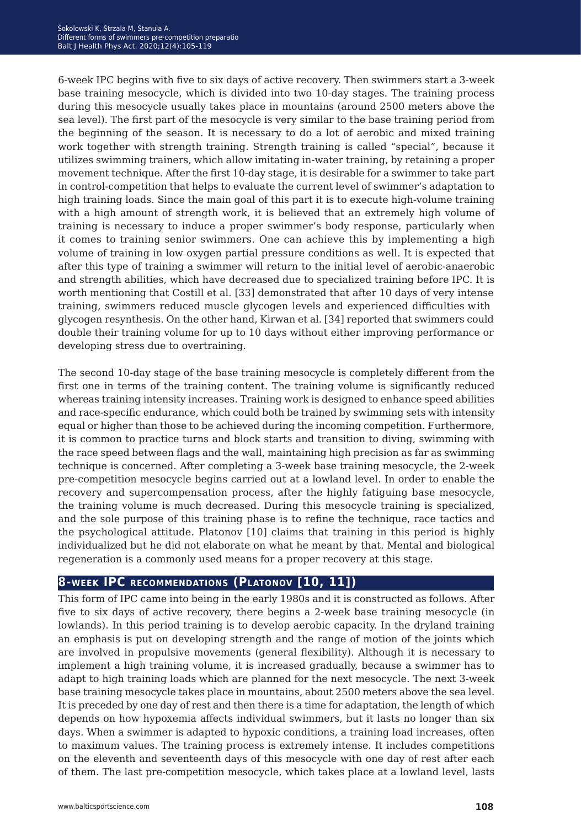6-week IPC begins with five to six days of active recovery. Then swimmers start a 3-week base training mesocycle, which is divided into two 10-day stages. The training process during this mesocycle usually takes place in mountains (around 2500 meters above the sea level). The first part of the mesocycle is very similar to the base training period from the beginning of the season. It is necessary to do a lot of aerobic and mixed training work together with strength training. Strength training is called "special", because it utilizes swimming trainers, which allow imitating in-water training, by retaining a proper movement technique. After the first 10-day stage, it is desirable for a swimmer to take part in control-competition that helps to evaluate the current level of swimmer's adaptation to high training loads. Since the main goal of this part it is to execute high-volume training with a high amount of strength work, it is believed that an extremely high volume of training is necessary to induce a proper swimmer's body response, particularly when it comes to training senior swimmers. One can achieve this by implementing a high volume of training in low oxygen partial pressure conditions as well. It is expected that after this type of training a swimmer will return to the initial level of aerobic-anaerobic and strength abilities, which have decreased due to specialized training before IPC. It is worth mentioning that Costill et al. [33] demonstrated that after 10 days of very intense training, swimmers reduced muscle glycogen levels and experienced difficulties with glycogen resynthesis. On the other hand, Kirwan et al. [34] reported that swimmers could double their training volume for up to 10 days without either improving performance or developing stress due to overtraining.

The second 10-day stage of the base training mesocycle is completely different from the first one in terms of the training content. The training volume is significantly reduced whereas training intensity increases. Training work is designed to enhance speed abilities and race-specific endurance, which could both be trained by swimming sets with intensity equal or higher than those to be achieved during the incoming competition. Furthermore, it is common to practice turns and block starts and transition to diving, swimming with the race speed between flags and the wall, maintaining high precision as far as swimming technique is concerned. After completing a 3-week base training mesocycle, the 2-week pre-competition mesocycle begins carried out at a lowland level. In order to enable the recovery and supercompensation process, after the highly fatiguing base mesocycle, the training volume is much decreased. During this mesocycle training is specialized, and the sole purpose of this training phase is to refine the technique, race tactics and the psychological attitude. Platonov [10] claims that training in this period is highly individualized but he did not elaborate on what he meant by that. Mental and biological regeneration is a commonly used means for a proper recovery at this stage.

### **8-week IPC recommendations (Platonov [10, 11])**

This form of IPC came into being in the early 1980s and it is constructed as follows. After five to six days of active recovery, there begins a 2-week base training mesocycle (in lowlands). In this period training is to develop aerobic capacity. In the dryland training an emphasis is put on developing strength and the range of motion of the joints which are involved in propulsive movements (general flexibility). Although it is necessary to implement a high training volume, it is increased gradually, because a swimmer has to adapt to high training loads which are planned for the next mesocycle. The next 3-week base training mesocycle takes place in mountains, about 2500 meters above the sea level. It is preceded by one day of rest and then there is a time for adaptation, the length of which depends on how hypoxemia affects individual swimmers, but it lasts no longer than six days. When a swimmer is adapted to hypoxic conditions, a training load increases, often to maximum values. The training process is extremely intense. It includes competitions on the eleventh and seventeenth days of this mesocycle with one day of rest after each of them. The last pre-competition mesocycle, which takes place at a lowland level, lasts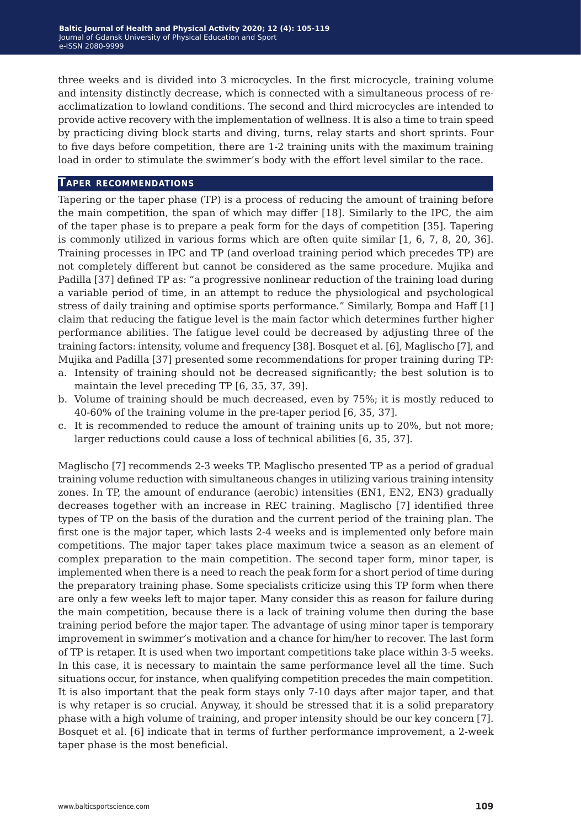three weeks and is divided into 3 microcycles. In the first microcycle, training volume and intensity distinctly decrease, which is connected with a simultaneous process of reacclimatization to lowland conditions. The second and third microcycles are intended to provide active recovery with the implementation of wellness. It is also a time to train speed by practicing diving block starts and diving, turns, relay starts and short sprints. Four to five days before competition, there are 1-2 training units with the maximum training load in order to stimulate the swimmer's body with the effort level similar to the race.

#### **Taper recommendations**

Tapering or the taper phase (TP) is a process of reducing the amount of training before the main competition, the span of which may differ [18]. Similarly to the IPC, the aim of the taper phase is to prepare a peak form for the days of competition [35]. Tapering is commonly utilized in various forms which are often quite similar [1, 6, 7, 8, 20, 36]. Training processes in IPC and TP (and overload training period which precedes TP) are not completely different but cannot be considered as the same procedure. Mujika and Padilla [37] defined TP as: "a progressive nonlinear reduction of the training load during a variable period of time, in an attempt to reduce the physiological and psychological stress of daily training and optimise sports performance." Similarly, Bompa and Haff [1] claim that reducing the fatigue level is the main factor which determines further higher performance abilities. The fatigue level could be decreased by adjusting three of the training factors: intensity, volume and frequency [38]. Bosquet et al. [6], Maglischo [7], and Mujika and Padilla [37] presented some recommendations for proper training during TP:

- a. Intensity of training should not be decreased significantly; the best solution is to maintain the level preceding TP [6, 35, 37, 39].
- b. Volume of training should be much decreased, even by 75%; it is mostly reduced to 40-60% of the training volume in the pre-taper period [6, 35, 37].
- c. It is recommended to reduce the amount of training units up to 20%, but not more; larger reductions could cause a loss of technical abilities [6, 35, 37].

Maglischo [7] recommends 2-3 weeks TP. Maglischo presented TP as a period of gradual training volume reduction with simultaneous changes in utilizing various training intensity zones. In TP, the amount of endurance (aerobic) intensities (EN1, EN2, EN3) gradually decreases together with an increase in REC training. Maglischo [7] identified three types of TP on the basis of the duration and the current period of the training plan. The first one is the major taper, which lasts 2-4 weeks and is implemented only before main competitions. The major taper takes place maximum twice a season as an element of complex preparation to the main competition. The second taper form, minor taper, is implemented when there is a need to reach the peak form for a short period of time during the preparatory training phase. Some specialists criticize using this TP form when there are only a few weeks left to major taper. Many consider this as reason for failure during the main competition, because there is a lack of training volume then during the base training period before the major taper. The advantage of using minor taper is temporary improvement in swimmer's motivation and a chance for him/her to recover. The last form of TP is retaper. It is used when two important competitions take place within 3-5 weeks. In this case, it is necessary to maintain the same performance level all the time. Such situations occur, for instance, when qualifying competition precedes the main competition. It is also important that the peak form stays only 7-10 days after major taper, and that is why retaper is so crucial. Anyway, it should be stressed that it is a solid preparatory phase with a high volume of training, and proper intensity should be our key concern [7]. Bosquet et al. [6] indicate that in terms of further performance improvement, a 2-week taper phase is the most beneficial.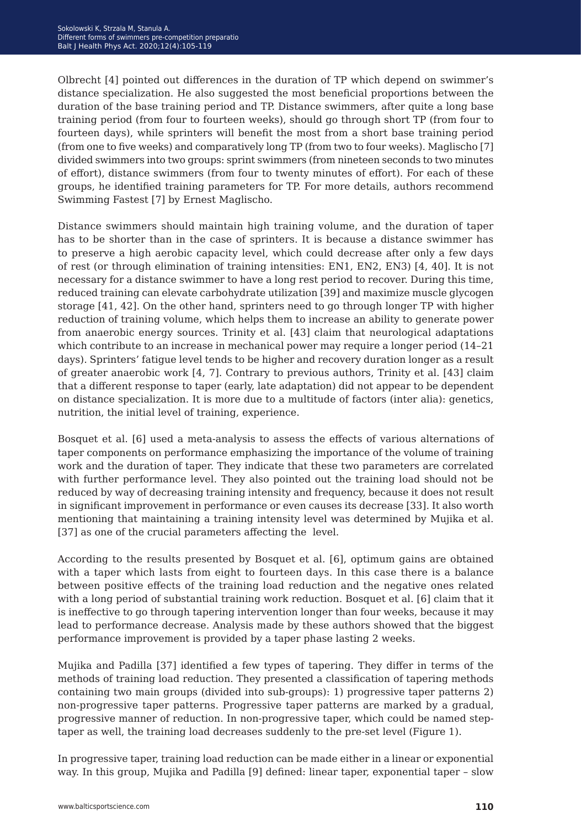Olbrecht [4] pointed out differences in the duration of TP which depend on swimmer's distance specialization. He also suggested the most beneficial proportions between the duration of the base training period and TP. Distance swimmers, after quite a long base training period (from four to fourteen weeks), should go through short TP (from four to fourteen days), while sprinters will benefit the most from a short base training period (from one to five weeks) and comparatively long TP (from two to four weeks). Maglischo [7] divided swimmers into two groups: sprint swimmers (from nineteen seconds to two minutes of effort), distance swimmers (from four to twenty minutes of effort). For each of these groups, he identified training parameters for TP. For more details, authors recommend Swimming Fastest [7] by Ernest Maglischo.

Distance swimmers should maintain high training volume, and the duration of taper has to be shorter than in the case of sprinters. It is because a distance swimmer has to preserve a high aerobic capacity level, which could decrease after only a few days of rest (or through elimination of training intensities: EN1, EN2, EN3) [4, 40]. It is not necessary for a distance swimmer to have a long rest period to recover. During this time, reduced training can elevate carbohydrate utilization [39] and maximize muscle glycogen storage [41, 42]. On the other hand, sprinters need to go through longer TP with higher reduction of training volume, which helps them to increase an ability to generate power from anaerobic energy sources. Trinity et al. [43] claim that neurological adaptations which contribute to an increase in mechanical power may require a longer period (14–21 days). Sprinters' fatigue level tends to be higher and recovery duration longer as a result of greater anaerobic work [4, 7]. Contrary to previous authors, Trinity et al. [43] claim that a different response to taper (early, late adaptation) did not appear to be dependent on distance specialization. It is more due to a multitude of factors (inter alia): genetics, nutrition, the initial level of training, experience.

Bosquet et al. [6] used a meta-analysis to assess the effects of various alternations of taper components on performance emphasizing the importance of the volume of training work and the duration of taper. They indicate that these two parameters are correlated with further performance level. They also pointed out the training load should not be reduced by way of decreasing training intensity and frequency, because it does not result in significant improvement in performance or even causes its decrease [33]. It also worth mentioning that maintaining a training intensity level was determined by Mujika et al. [37] as one of the crucial parameters affecting the level.

According to the results presented by Bosquet et al. [6], optimum gains are obtained with a taper which lasts from eight to fourteen days. In this case there is a balance between positive effects of the training load reduction and the negative ones related with a long period of substantial training work reduction. Bosquet et al. [6] claim that it is ineffective to go through tapering intervention longer than four weeks, because it may lead to performance decrease. Analysis made by these authors showed that the biggest performance improvement is provided by a taper phase lasting 2 weeks.

Mujika and Padilla [37] identified a few types of tapering. They differ in terms of the methods of training load reduction. They presented a classification of tapering methods containing two main groups (divided into sub-groups): 1) progressive taper patterns 2) non-progressive taper patterns. Progressive taper patterns are marked by a gradual, progressive manner of reduction. In non-progressive taper, which could be named steptaper as well, the training load decreases suddenly to the pre-set level (Figure 1).

In progressive taper, training load reduction can be made either in a linear or exponential way. In this group, Mujika and Padilla [9] defined: linear taper, exponential taper – slow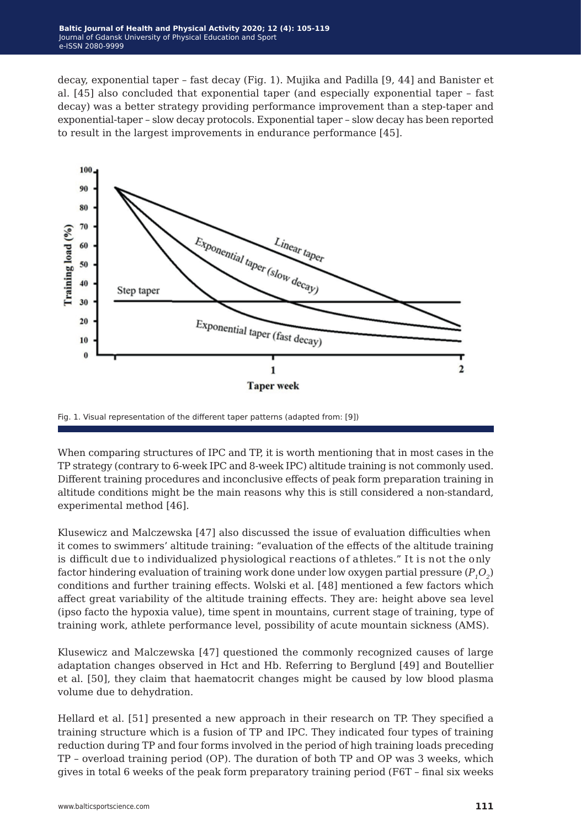decay, exponential taper – fast decay (Fig. 1). Mujika and Padilla [9, 44] and Banister et al. [45] also concluded that exponential taper (and especially exponential taper – fast decay) was a better strategy providing performance improvement than a step-taper and exponential-taper – slow decay protocols. Exponential taper – slow decay has been reported to result in the largest improvements in endurance performance [45].



Fig. 1. Visual representation of the different taper patterns (adapted from: [9])

When comparing structures of IPC and TP, it is worth mentioning that in most cases in the TP strategy (contrary to 6-week IPC and 8-week IPC) altitude training is not commonly used. Different training procedures and inconclusive effects of peak form preparation training in altitude conditions might be the main reasons why this is still considered a non-standard, experimental method [46].

Klusewicz and Malczewska [47] also discussed the issue of evaluation difficulties when it comes to swimmers' altitude training: "evaluation of the effects of the altitude training is difficult due to individualized physiological reactions of athletes." It is not the only factor hindering evaluation of training work done under low oxygen partial pressure  $(P, Q<sub>2</sub>)$ conditions and further training effects. Wolski et al. [48] mentioned a few factors which affect great variability of the altitude training effects. They are: height above sea level (ipso facto the hypoxia value), time spent in mountains, current stage of training, type of training work, athlete performance level, possibility of acute mountain sickness (AMS).

Klusewicz and Malczewska [47] questioned the commonly recognized causes of large adaptation changes observed in Hct and Hb. Referring to Berglund [49] and Boutellier et al. [50], they claim that haematocrit changes might be caused by low blood plasma volume due to dehydration.

Hellard et al. [51] presented a new approach in their research on TP. They specified a training structure which is a fusion of TP and IPC. They indicated four types of training reduction during TP and four forms involved in the period of high training loads preceding TP – overload training period (OP). The duration of both TP and OP was 3 weeks, which gives in total 6 weeks of the peak form preparatory training period (F6T – final six weeks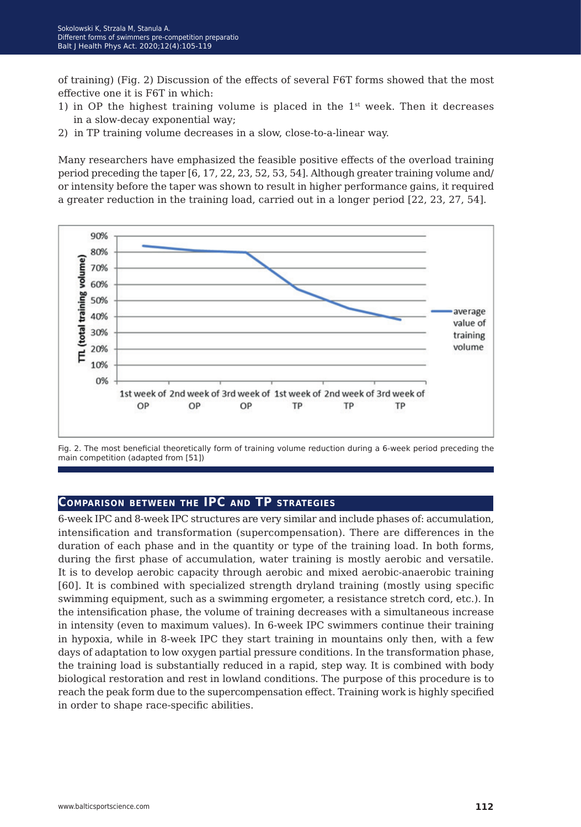of training) (Fig. 2) Discussion of the effects of several F6T forms showed that the most effective one it is F6T in which:

- 1) in OP the highest training volume is placed in the  $1<sup>st</sup>$  week. Then it decreases in a slow-decay exponential way;
- 2) in TP training volume decreases in a slow, close-to-a-linear way.

Many researchers have emphasized the feasible positive effects of the overload training period preceding the taper [6, 17, 22, 23, 52, 53, 54]. Although greater training volume and/ or intensity before the taper was shown to result in higher performance gains, it required a greater reduction in the training load, carried out in a longer period [22, 23, 27, 54].



Fig. 2. The most beneficial theoretically form of training volume reduction during a 6-week period preceding the main competition (adapted from [51])

### **Comparison between the IPC and TP strategies**

6-week IPC and 8-week IPC structures are very similar and include phases of: accumulation, intensification and transformation (supercompensation). There are differences in the duration of each phase and in the quantity or type of the training load. In both forms, during the first phase of accumulation, water training is mostly aerobic and versatile. It is to develop aerobic capacity through aerobic and mixed aerobic-anaerobic training [60]. It is combined with specialized strength dryland training (mostly using specific swimming equipment, such as a swimming ergometer, a resistance stretch cord, etc.). In the intensification phase, the volume of training decreases with a simultaneous increase in intensity (even to maximum values). In 6-week IPC swimmers continue their training in hypoxia, while in 8-week IPC they start training in mountains only then, with a few days of adaptation to low oxygen partial pressure conditions. In the transformation phase, the training load is substantially reduced in a rapid, step way. It is combined with body biological restoration and rest in lowland conditions. The purpose of this procedure is to reach the peak form due to the supercompensation effect. Training work is highly specified in order to shape race-specific abilities.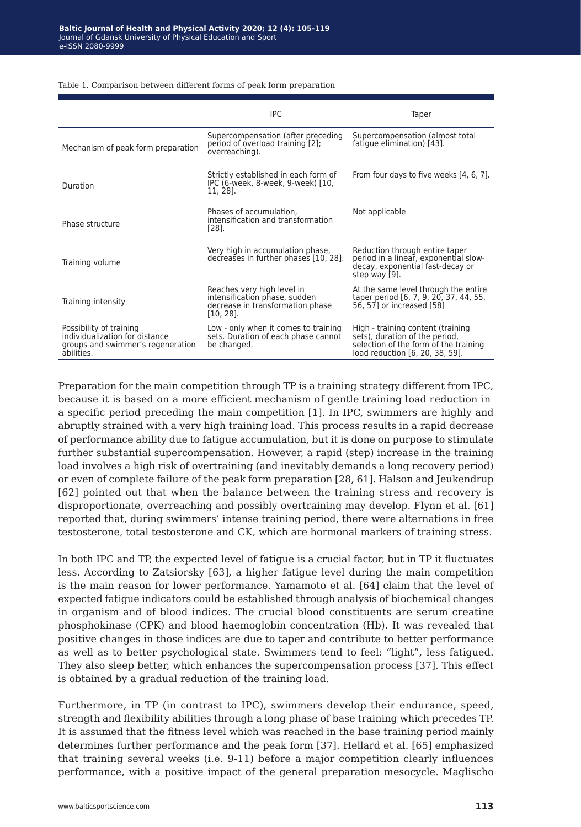|                                                                                                              | <b>IPC</b>                                                                                                      | Taper                                                                                                                                           |
|--------------------------------------------------------------------------------------------------------------|-----------------------------------------------------------------------------------------------------------------|-------------------------------------------------------------------------------------------------------------------------------------------------|
| Mechanism of peak form preparation                                                                           | Supercompensation (after preceding<br>period of overload training [2];<br>overreaching).                        | Supercompensation (almost total<br>fatique elimination) [43].                                                                                   |
| Duration                                                                                                     | Strictly established in each form of<br>IPC (6-week, 8-week, 9-week) [10,<br>11, 28].                           | From four days to five weeks [4, 6, 7].                                                                                                         |
| Phase structure                                                                                              | Phases of accumulation,<br>intensification and transformation<br>[28].                                          | Not applicable                                                                                                                                  |
| Training volume                                                                                              | Very high in accumulation phase,<br>decreases in further phases [10, 28].                                       | Reduction through entire taper<br>period in a linear, exponential slow-<br>decay, exponential fast-decay or<br>step way [9].                    |
| Training intensity                                                                                           | Reaches very high level in<br>intensification phase, sudden<br>decrease in transformation phase<br>$[10, 28]$ . | At the same level through the entire<br>taper period [6, 7, 9, 20, 37, 44, 55,<br>56, 57] or increased [58]                                     |
| Possibility of training<br>individualization for distance<br>groups and swimmer's regeneration<br>abilities. | Low - only when it comes to training<br>sets. Duration of each phase cannot<br>be changed.                      | High - training content (training<br>sets), duration of the period,<br>selection of the form of the training<br>load reduction [6, 20, 38, 59]. |

Table 1. Comparison between different forms of peak form preparation

Preparation for the main competition through TP is a training strategy different from IPC, because it is based on a more efficient mechanism of gentle training load reduction in a specific period preceding the main competition [1]. In IPC, swimmers are highly and abruptly strained with a very high training load. This process results in a rapid decrease of performance ability due to fatigue accumulation, but it is done on purpose to stimulate further substantial supercompensation. However, a rapid (step) increase in the training load involves a high risk of overtraining (and inevitably demands a long recovery period) or even of complete failure of the peak form preparation [28, 61]. Halson and Jeukendrup [62] pointed out that when the balance between the training stress and recovery is disproportionate, overreaching and possibly overtraining may develop. Flynn et al. [61] reported that, during swimmers' intense training period, there were alternations in free testosterone, total testosterone and CK, which are hormonal markers of training stress.

In both IPC and TP, the expected level of fatigue is a crucial factor, but in TP it fluctuates less. According to Zatsiorsky [63], a higher fatigue level during the main competition is the main reason for lower performance. Yamamoto et al. [64] claim that the level of expected fatigue indicators could be established through analysis of biochemical changes in organism and of blood indices. The crucial blood constituents are serum creatine phosphokinase (CPK) and blood haemoglobin concentration (Hb). It was revealed that positive changes in those indices are due to taper and contribute to better performance as well as to better psychological state. Swimmers tend to feel: "light", less fatigued. They also sleep better, which enhances the supercompensation process [37]. This effect is obtained by a gradual reduction of the training load.

Furthermore, in TP (in contrast to IPC), swimmers develop their endurance, speed, strength and flexibility abilities through a long phase of base training which precedes TP. It is assumed that the fitness level which was reached in the base training period mainly determines further performance and the peak form [37]. Hellard et al. [65] emphasized that training several weeks (i.e. 9-11) before a major competition clearly influences performance, with a positive impact of the general preparation mesocycle. Maglischo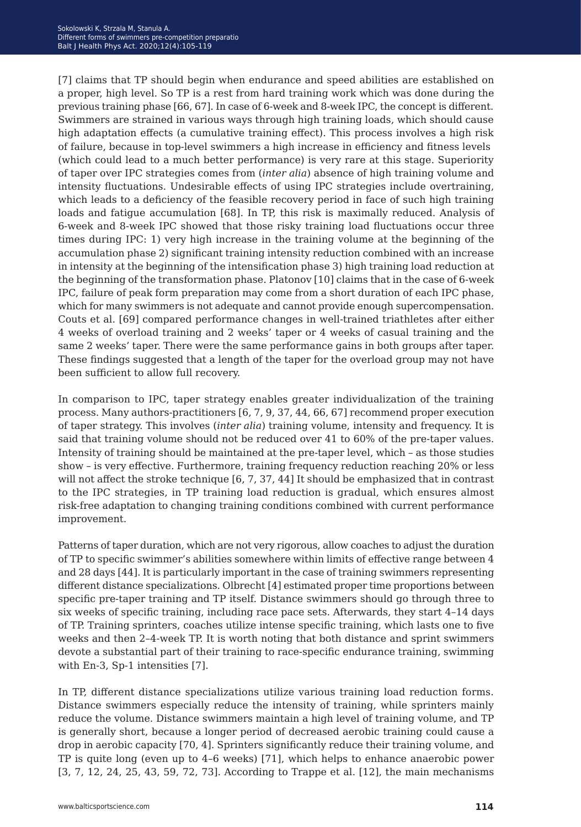[7] claims that TP should begin when endurance and speed abilities are established on a proper, high level. So TP is a rest from hard training work which was done during the previous training phase [66, 67]. In case of 6-week and 8-week IPC, the concept is different. Swimmers are strained in various ways through high training loads, which should cause high adaptation effects (a cumulative training effect). This process involves a high risk of failure, because in top-level swimmers a high increase in efficiency and fitness levels (which could lead to a much better performance) is very rare at this stage. Superiority of taper over IPC strategies comes from (*inter alia*) absence of high training volume and intensity fluctuations. Undesirable effects of using IPC strategies include overtraining, which leads to a deficiency of the feasible recovery period in face of such high training loads and fatigue accumulation [68]. In TP, this risk is maximally reduced. Analysis of 6-week and 8-week IPC showed that those risky training load fluctuations occur three times during IPC: 1) very high increase in the training volume at the beginning of the accumulation phase 2) significant training intensity reduction combined with an increase in intensity at the beginning of the intensification phase 3) high training load reduction at the beginning of the transformation phase. Platonov [10] claims that in the case of 6-week IPC, failure of peak form preparation may come from a short duration of each IPC phase, which for many swimmers is not adequate and cannot provide enough supercompensation. Couts et al. [69] compared performance changes in well-trained triathletes after either 4 weeks of overload training and 2 weeks' taper or 4 weeks of casual training and the same 2 weeks' taper. There were the same performance gains in both groups after taper. These findings suggested that a length of the taper for the overload group may not have been sufficient to allow full recovery.

In comparison to IPC, taper strategy enables greater individualization of the training process. Many authors-practitioners [6, 7, 9, 37, 44, 66, 67] recommend proper execution of taper strategy. This involves (*inter alia*) training volume, intensity and frequency. It is said that training volume should not be reduced over 41 to 60% of the pre-taper values. Intensity of training should be maintained at the pre-taper level, which – as those studies show – is very effective. Furthermore, training frequency reduction reaching 20% or less will not affect the stroke technique [6, 7, 37, 44] It should be emphasized that in contrast to the IPC strategies, in TP training load reduction is gradual, which ensures almost risk-free adaptation to changing training conditions combined with current performance improvement.

Patterns of taper duration, which are not very rigorous, allow coaches to adjust the duration of TP to specific swimmer's abilities somewhere within limits of effective range between 4 and 28 days [44]. It is particularly important in the case of training swimmers representing different distance specializations. Olbrecht [4] estimated proper time proportions between specific pre-taper training and TP itself. Distance swimmers should go through three to six weeks of specific training, including race pace sets. Afterwards, they start 4–14 days of TP. Training sprinters, coaches utilize intense specific training, which lasts one to five weeks and then 2–4-week TP. It is worth noting that both distance and sprint swimmers devote a substantial part of their training to race-specific endurance training, swimming with En-3, Sp-1 intensities [7].

In TP, different distance specializations utilize various training load reduction forms. Distance swimmers especially reduce the intensity of training, while sprinters mainly reduce the volume. Distance swimmers maintain a high level of training volume, and TP is generally short, because a longer period of decreased aerobic training could cause a drop in aerobic capacity [70, 4]. Sprinters significantly reduce their training volume, and TP is quite long (even up to 4–6 weeks) [71], which helps to enhance anaerobic power [3, 7, 12, 24, 25, 43, 59, 72, 73]. According to Trappe et al. [12], the main mechanisms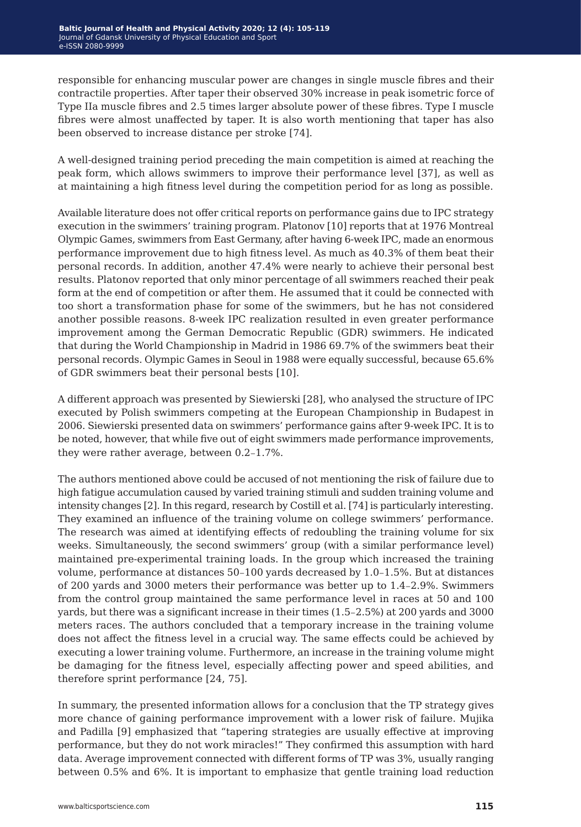responsible for enhancing muscular power are changes in single muscle fibres and their contractile properties. After taper their observed 30% increase in peak isometric force of Type IIa muscle fibres and 2.5 times larger absolute power of these fibres. Type I muscle fibres were almost unaffected by taper. It is also worth mentioning that taper has also been observed to increase distance per stroke [74].

A well-designed training period preceding the main competition is aimed at reaching the peak form, which allows swimmers to improve their performance level [37], as well as at maintaining a high fitness level during the competition period for as long as possible.

Available literature does not offer critical reports on performance gains due to IPC strategy execution in the swimmers' training program. Platonov [10] reports that at 1976 Montreal Olympic Games, swimmers from East Germany, after having 6-week IPC, made an enormous performance improvement due to high fitness level. As much as 40.3% of them beat their personal records. In addition, another 47.4% were nearly to achieve their personal best results. Platonov reported that only minor percentage of all swimmers reached their peak form at the end of competition or after them. He assumed that it could be connected with too short a transformation phase for some of the swimmers, but he has not considered another possible reasons. 8-week IPC realization resulted in even greater performance improvement among the German Democratic Republic (GDR) swimmers. He indicated that during the World Championship in Madrid in 1986 69.7% of the swimmers beat their personal records. Olympic Games in Seoul in 1988 were equally successful, because 65.6% of GDR swimmers beat their personal bests [10].

A different approach was presented by Siewierski [28], who analysed the structure of IPC executed by Polish swimmers competing at the European Championship in Budapest in 2006. Siewierski presented data on swimmers' performance gains after 9-week IPC. It is to be noted, however, that while five out of eight swimmers made performance improvements, they were rather average, between 0.2–1.7%.

The authors mentioned above could be accused of not mentioning the risk of failure due to high fatigue accumulation caused by varied training stimuli and sudden training volume and intensity changes [2]. In this regard, research by Costill et al. [74] is particularly interesting. They examined an influence of the training volume on college swimmers' performance. The research was aimed at identifying effects of redoubling the training volume for six weeks. Simultaneously, the second swimmers' group (with a similar performance level) maintained pre-experimental training loads. In the group which increased the training volume, performance at distances 50–100 yards decreased by 1.0–1.5%. But at distances of 200 yards and 3000 meters their performance was better up to 1.4–2.9%. Swimmers from the control group maintained the same performance level in races at 50 and 100 yards, but there was a significant increase in their times (1.5–2.5%) at 200 yards and 3000 meters races. The authors concluded that a temporary increase in the training volume does not affect the fitness level in a crucial way. The same effects could be achieved by executing a lower training volume. Furthermore, an increase in the training volume might be damaging for the fitness level, especially affecting power and speed abilities, and therefore sprint performance [24, 75].

In summary, the presented information allows for a conclusion that the TP strategy gives more chance of gaining performance improvement with a lower risk of failure. Mujika and Padilla [9] emphasized that "tapering strategies are usually effective at improving performance, but they do not work miracles!" They confirmed this assumption with hard data. Average improvement connected with different forms of TP was 3%, usually ranging between 0.5% and 6%. It is important to emphasize that gentle training load reduction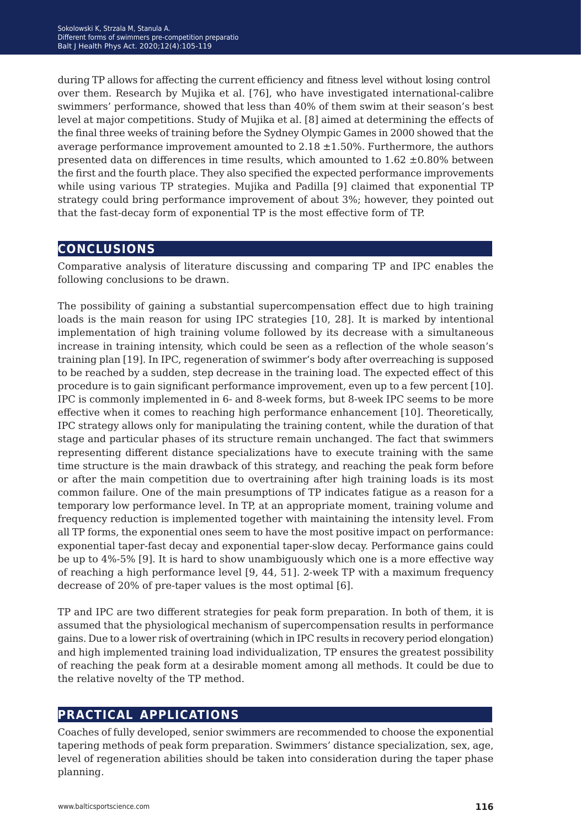during TP allows for affecting the current efficiency and fitness level without losing control over them. Research by Mujika et al. [76], who have investigated international-calibre swimmers' performance, showed that less than 40% of them swim at their season's best level at major competitions. Study of Mujika et al. [8] aimed at determining the effects of the final three weeks of training before the Sydney Olympic Games in 2000 showed that the average performance improvement amounted to  $2.18 \pm 1.50\%$ . Furthermore, the authors presented data on differences in time results, which amounted to  $1.62 \pm 0.80\%$  between the first and the fourth place. They also specified the expected performance improvements while using various TP strategies. Mujika and Padilla [9] claimed that exponential TP strategy could bring performance improvement of about 3%; however, they pointed out that the fast-decay form of exponential TP is the most effective form of TP.

## **conclusions**

Comparative analysis of literature discussing and comparing TP and IPC enables the following conclusions to be drawn.

The possibility of gaining a substantial supercompensation effect due to high training loads is the main reason for using IPC strategies [10, 28]. It is marked by intentional implementation of high training volume followed by its decrease with a simultaneous increase in training intensity, which could be seen as a reflection of the whole season's training plan [19]. In IPC, regeneration of swimmer's body after overreaching is supposed to be reached by a sudden, step decrease in the training load. The expected effect of this procedure is to gain significant performance improvement, even up to a few percent [10]. IPC is commonly implemented in 6- and 8-week forms, but 8-week IPC seems to be more effective when it comes to reaching high performance enhancement [10]. Theoretically, IPC strategy allows only for manipulating the training content, while the duration of that stage and particular phases of its structure remain unchanged. The fact that swimmers representing different distance specializations have to execute training with the same time structure is the main drawback of this strategy, and reaching the peak form before or after the main competition due to overtraining after high training loads is its most common failure. One of the main presumptions of TP indicates fatigue as a reason for a temporary low performance level. In TP, at an appropriate moment, training volume and frequency reduction is implemented together with maintaining the intensity level. From all TP forms, the exponential ones seem to have the most positive impact on performance: exponential taper-fast decay and exponential taper-slow decay. Performance gains could be up to 4%-5% [9]. It is hard to show unambiguously which one is a more effective way of reaching a high performance level [9, 44, 51]. 2-week TP with a maximum frequency decrease of 20% of pre-taper values is the most optimal [6].

TP and IPC are two different strategies for peak form preparation. In both of them, it is assumed that the physiological mechanism of supercompensation results in performance gains. Due to a lower risk of overtraining (which in IPC results in recovery period elongation) and high implemented training load individualization, TP ensures the greatest possibility of reaching the peak form at a desirable moment among all methods. It could be due to the relative novelty of the TP method.

## **practical applications**

Coaches of fully developed, senior swimmers are recommended to choose the exponential tapering methods of peak form preparation. Swimmers' distance specialization, sex, age, level of regeneration abilities should be taken into consideration during the taper phase planning.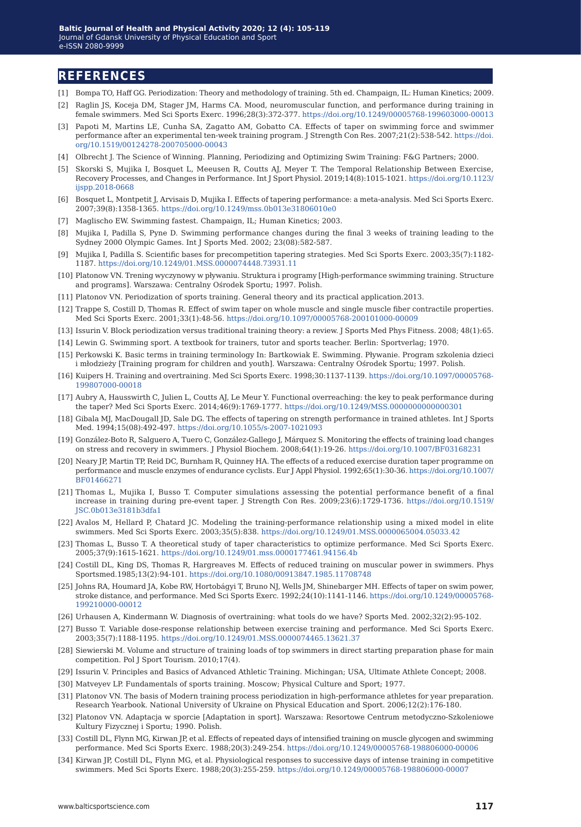## **references**

- [1] Bompa TO, Haff GG. Periodization: Theory and methodology of training. 5th ed. Champaign, IL: Human Kinetics; 2009.
- [2] Raglin JS, Koceja DM, Stager JM, Harms CA. Mood, neuromuscular function, and performance during training in female swimmers. Med Sci Sports Exerc. 1996;28(3):372-377. [https://doi.org/10.1249/00005768-199603000-00013](https://doi.org/10.1249/00005768-199603000-00013 )
- [3] Papoti M, Martins LE, Cunha SA, Zagatto AM, Gobatto CA. Effects of taper on swimming force and swimmer performance after an experimental ten-week training program. J Strength Con Res. 2007;21(2):538-542. https://doi. org/10.1519/00124278-200705000-00043
- [4] Olbrecht J. The Science of Winning. Planning, Periodizing and Optimizing Swim Training: F&G Partners; 2000.
- [5] Skorski S, Mujika I, Bosquet L, Meeusen R, Coutts AJ, Meyer T. The Temporal Relationship Between Exercise, Recovery Processes, and Changes in Performance. Int J Sport Physiol. 2019;14(8):1015-1021. https://doi.org/10.1123/ ijspp.2018-0668
- [6] Bosquet L, Montpetit J, Arvisais D, Mujika I. Effects of tapering performance: a meta-analysis. Med Sci Sports Exerc. 2007;39(8):1358-1365.<https://doi.org/10.1249/mss.0b013e31806010e0>
- [7] Maglischo EW. Swimming fastest. Champaign, IL; Human Kinetics; 2003.
- [8] Mujika I, Padilla S, Pyne D. Swimming performance changes during the final 3 weeks of training leading to the Sydney 2000 Olympic Games. Int J Sports Med. 2002; 23(08):582-587.
- [9] Mujika I, Padilla S. Scientific bases for precompetition tapering strategies. Med Sci Sports Exerc. 2003;35(7):1182- 1187. <https://doi.org/10.1249/01.MSS.0000074448.73931.11>
- [10] Platonow VN. Trening wyczynowy w pływaniu. Struktura i programy [High-performance swimming training. Structure and programs]. Warszawa: Centralny Ośrodek Sportu; 1997. Polish.
- [11] Platonov VN. Periodization of sports training. General theory and its practical application.2013.
- [12] Trappe S, Costill D, Thomas R. Effect of swim taper on whole muscle and single muscle fiber contractile properties. Med Sci Sports Exerc. 2001;33(1):48-56.<https://doi.org/10.1097/00005768-200101000-00009>
- [13] Issurin V. Block periodization versus traditional training theory: a review. J Sports Med Phys Fitness. 2008; 48(1):65.
- [14] [Lewin G. Swimming sport. A textbook for trainers, tutor and sports teacher. Berlin: Sportverlag; 1970.](Lewin G. Swimming sport. A textbook for trainers, tutor and sports teacher. Berlin: Sportverlag; 197)
- [15] Perkowski K. Basic terms in training terminology In: Bartkowiak E. Swimming. Pływanie. Program szkolenia dzieci i młodzieży [Training program for children and youth]. Warszawa: Centralny Ośrodek Sportu; 1997. Polish.
- [16] Kuipers H. Traini[ng](Kuipers H. Training and overtraining. Med Sci Sports Exerc. 1998;30:1137-1139.  17. Aubry A, Hausswi) and overtraining. Med Sci Sports Exerc. 1998;30:1137-1139. https://doi.org/10.1097/00005768- 199807000-00018
- [17] [Aubry A, Hausswirth C, Julien L, Coutts AJ, Le Meur Y. Functional overreaching: the key to peak performance during](Kuipers H. Training and overtraining. Med Sci Sports Exerc. 1998;30:1137-1139.  17. Aubry A, Hausswi)  the taper? Med Sci Sports Exerc. 2014;46(9):1769-1777. https://doi.org/10.1249/MSS.0000000000000301
- [18] Gibala MJ, MacDougall JD, Sale DG. The effects of tapering on strength performance in trained athletes. Int J Sports Med. 1994;15(08):492-497. https://doi.org/10.1055/s-2007-1021093
- [19] González-Boto R, Salguero A, Tuero C, González-Gallego J, Márquez S. Monitoring the effects of training load changes on stress and recovery in swimmers. J Physiol Biochem. 2008;64(1):19-26.<https://doi.org/10.1007/BF03168231>
- [20] Neary JP, Martin TP, Reid DC, Burnham R, Quinney HA. The effects of a reduced exercise duration taper programme on performance and muscle enzymes of endurance cyclists. Eur J Appl Physiol. 1992;65(1):30-36. https://doi.org/10.1007/ BF01466271
- [21] Thomas L, Mujika I, Busso T. Computer simulations assessing the potential performance benefit of a final increase in training during pre-event taper. J Strength Con Res. 2009;23(6):1729-1736. https://doi.org/10.1519/ JSC.0b013e3181b3dfa1
- [22] Avalos M, Hellard P, Chatard JC. Modeling the training-performance relationship using a mixed model in elite swimmers. Med Sci Sports Exerc. 2003;35(5):838.<https://doi.org/10.1249/01.MSS.0000065004.05033.42>
- [23] Thomas L, Busso T. A theoretical study of taper characteristics to optimize performance. Med Sci Sports Exerc. 2005;37(9):1615-1621.<https://doi.org/10.1249/01.mss.0000177461.94156.4b>
- [24] Costill DL, King DS, Thomas R, Hargreaves M. Effects of reduced training on muscular power in swimmers. Phys Sportsmed.1985;13(2):94-101. <https://doi.org/10.1080/00913847.1985.11708748>
- [25] Johns RA, Houmard JA, Kobe RW, Hortobágyi T, Bruno NJ, Wells JM, Shinebarger MH. Effects of taper on swim power, stroke distance, and performance. Med Sci Sports Exerc. 1992;24(10):1141-1146. https://doi.org/10.1249/00005768- 199210000-00012
- [26] Urhausen A, Kindermann W. Diagnosis of overtraining: what tools do we have? Sports Med. 2002;32(2):95-102.
- [27] Busso T. Variable dose-response relationship between exercise training and performance. Med Sci Sports Exerc. 2003;35(7):1188-1195.<https://doi.org/10.1249/01.MSS.0000074465.13621.37>
- [28] Siewierski M. Volume and structure of training loads of top swimmers in direct starting preparation phase for main competition. Pol J Sport Tourism. 2010;17(4).
- [29] Issurin V. Principles and Basics of Advanced Athletic Training. Michingan; USA, Ultimate Athlete Concept; 2008.
- [30] Matveyev LP. Fundamentals of sports training. Moscow; Physical Culture and Sport; 1977.
- [31] Platonov VN. The basis of Modern training process periodization in high-performance athletes for year preparation. Research Yearbook. National University of Ukraine on Physical Education and Sport. 2006;12(2):176-180.
- [32] Platonov VN. Adaptacja w sporcie [Adaptation in sport]. Warszawa: Resortowe Centrum metodyczno-Szkoleniowe Kultury Fizycznej i Sportu; 1990. Polish.
- [33] Costill DL, Flynn MG, Kirwan JP, et al. Effects of repeated days of intensified training on muscle glycogen and swimming performance. Med Sci Sports Exerc. 1988;20(3):249-254.<https://doi.org/10.1249/00005768-198806000-00006>
- [34] Kirwan JP, Costill DL, Flynn MG, et al. Physiological responses to successive days of intense training in competitive swimmers. Med Sci Sports Exerc. 1988;20(3):255-259. <https://doi.org/10.1249/00005768-198806000-00007>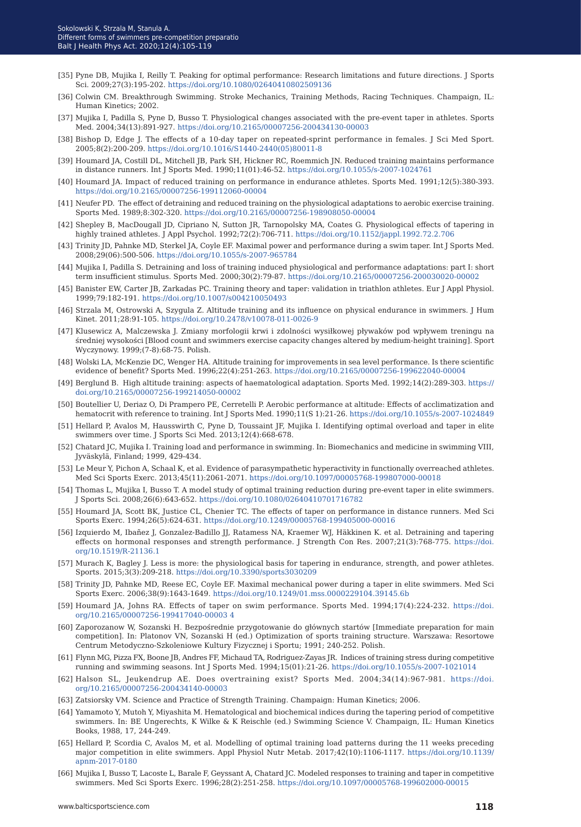- [35] Pyne DB, Mujika I, Reilly T. Peaking for optimal performance: Research limitations and future directions. J Sports Sci. 2009;27(3):195-202. <https://doi.org/10.1080/02640410802509136>
- [36] Colwin CM. Breakthrough Swimming. Stroke Mechanics, Training Methods, Racing Techniques. Champaign, IL: Human Kinetics; 2002.
- [37] Mujika I, Padilla S, Pyne D, Busso T. Physiological changes associated with the pre-event taper in athletes. Sports Med. 2004;34(13):891-927.<https://doi.org/10.2165/00007256-200434130-00003>
- [38] Bishop D, Edge J. The effects of a 10-day taper on repeated-sprint performance in females. J Sci Med Sport. 2005;8(2):200-209. [https://doi.org/10.1016/S1440-2440\(05\)80011-8](https://doi.org/10.1016/S1440-2440(05)80011-8)
- [39] Houmard JA, Costill DL, Mitchell JB, Park SH, Hickner RC, Roemmich JN. Reduced training maintains performance in distance runners. Int J Sports Med. 1990;11(01):46-52. <https://doi.org/10.1055/s-2007-1024761>
- [40] Houmard JA. Impact of reduced training on performance in endurance athletes. Sports Med. 1991;12(5):380-393. <https://doi.org/10.2165/00007256-199112060-00004>
- [41] Neufer PD. The effect of detraining and reduced training on the physiological adaptations to aerobic exercise training. Sports Med. 1989;8:302-320. <https://doi.org/10.2165/00007256-198908050-00004>
- [42] Shepley B, MacDougall JD, Cipriano N, Sutton JR, Tarnopolsky MA, Coates G. Physiological effects of tapering in highly trained athletes. J Appl Psychol. 1992;72(2):706-711.<https://doi.org/10.1152/jappl.1992.72.2.706>
- [43] Trinity JD, Pahnke MD, Sterkel JA, Coyle EF. Maximal power and performance during a swim taper. Int J Sports Med. 2008;29(06):500-506.<https://doi.org/10.1055/s-2007-965784>
- [44] Mujika I, Padilla S. Detraining and loss of training induced physiological and performance adaptations: part I: short term insufficient stimulus. Sports Med. 2000;30(2):79-87. [https://doi.org/10.2165/00007256-200030020-0000]( https://doi.org/10.2165/00007256-200030020-0000)
- [45] Banister EW, Carter JB, Zarkadas PC. Training theory and taper: validation in triathlon athletes. Eur J Appl Physiol. 1999;79:182-191. <https://doi.org/10.1007/s004210050493>
- [46] Strzala M, Ostrowski A, Szygula Z. Altitude training and its influence on physical endurance in swimmers. J Hum Kinet. 2011;28:91-105. <https://doi.org/10.2478/v10078-011-0026-9>
- [47] Klusewicz A, Malczewska J. Zmiany morfologii krwi i zdolności wysiłkowej pływaków pod wpływem treningu na średniej wysokości [Blood count and swimmers exercise capacity changes altered by medium-height training]. Sport Wyczynowy. 1999;(7-8):68-75. Polish.
- [48] Wolski LA, McKenzie DC, Wenger HA. Altitude training for improvements in sea level performance. Is there scientific evidence of benefit? Sports Med. 1996;22(4):251-263. <https://doi.org/10.2165/00007256-199622040-00004>
- [49] Berglund B. High altitude training: aspects of haematological adaptation. Sports Med. 1992;14(2):289-303. https:// doi.org/10.2165/00007256-199214050-00002
- [50] Boutellier U, Deriaz O, Di Prampero PE, Cerretelli P. Aerobic performance at altitude: Effects of acclimatization and hematocrit with reference to training. Int J Sports Med. 1990;11(S 1):21-26. [https://doi.org/10.1055/s-2007-1024849](https://doi.org/10.1055/s-2007-1024849 )
- [51] Hellard P, Avalos M, Hausswirth C, Pyne D, Toussaint JF, Mujika I. Identifying optimal overload and taper in elite swimmers over time. J Sports Sci Med. 2013;12(4):668-678.
- [52] Chatard JC, Mujika I. Training load and performance in swimming. In: Biomechanics and medicine in swimming VIII, Jyväskylä, Finland; 1999, 429-434.
- [53] Le Meur Y, Pichon A, Schaal K, et al. Evidence of parasympathetic hyperactivity in functionally overreached athletes. Med Sci Sports Exerc. 2013;45(11):2061-2071. <https://doi.org/10.1097/00005768-199807000-00018>
- [54] Thomas L, Mujika I, Busso T. A model study of optimal training reduction during pre-event taper in elite swimmers. J Sports Sci. 2008;26(6):643-652.<https://doi.org/10.1080/02640410701716782>
- [55] Houmard JA, Scott BK, Justice CL, Chenier TC. The effects of taper on performance in distance runners. Med Sci Sports Exerc. 1994;26(5):624-631. <https://doi.org/10.1249/00005768-199405000-00016>
- [56] Izquierdo M, Ibañez J, Gonzalez-Badillo JJ, Ratamess NA, Kraemer WJ, Häkkinen K. et al. Detraining and tapering effects on hormonal responses and strength performance. J Strength Con Res. 2007;21(3):768-775. https://doi. org/10.1519/R-21136.1
- [57] Murach K, Bagley J. Less is more: the physiological basis for tapering in endurance, strength, and power athletes. Sports. 2015;3(3):209-218. <https://doi.org/10.3390/sports3030209>
- [58] Trinity JD, Pahnke MD, Reese EC, Coyle EF. Maximal mechanical power during a taper in elite swimmers. Med Sci Sports Exerc. 2006;38(9):1643-1649. <https://doi.org/10.1249/01.mss.0000229104.39145.6b>
- [59] Houmard JA, Johns RA. Effects of taper on swim performance. Sports Med. 1994;17(4):224-232. https://doi. org/10.2165/00007256-199417040-00003 [4](https://doi.org/10.2165/00007256-199112060-00004)
- [60] Zaporozanow W, Sozanski H. Bezpośrednie przygotowanie do głównych startów [Immediate preparation for main competition]. In: Platonov VN, Sozanski H (ed.) Optimization of sports training structure. Warszawa: Resortowe Centrum Metodyczno-Szkoleniowe Kultury Fizycznej i Sportu; 1991; 240-252. Polish.
- [61] Flynn MG, Pizza FX, Boone JB, Andres FF, Michaud TA, Rodriguez-Zayas JR. Indices of training stress during competitive running and swimming seasons. Int J Sports Med. 1994;15(01):21-26. <https://doi.org/10.1055/s-2007-1021014>
- [62] Halson SL, Jeukendrup AE. Does overtraining exist? Sports Med. 2004;34(14):967-981. https://doi. org/10.2165/00007256-200434140-00003
- [63] Zatsiorsky VM. Science and Practice of Strength Training. Champaign: Human Kinetics; 2006.
- [64] Yamamoto Y, Mutoh Y, Miyashita M. Hematological and biochemical indices during the tapering period of competitive swimmers. In: BE Ungerechts, K Wilke & K Reischle (ed.) Swimming Science V. Champaign, IL: Human Kinetics Books, 1988, 17, 244-249.
- [65] Hellard P, Scordia C, Avalos M, et al. Modelling of optimal training load patterns during the 11 weeks preceding major competition in elite swimmers. Appl Physiol Nutr Metab. 2017;42(10):1106-1117. https://doi.org/10.1139/ apnm-2017-0180
- [66] Mujika I, Busso T, Lacoste L, Barale F, Geyssant A, Chatard JC. Modeled responses to training and taper in competitive swimmers. Med Sci Sports Exerc. 1996;28(2):251-258. <https://doi.org/10.1097/00005768-199602000-00015>